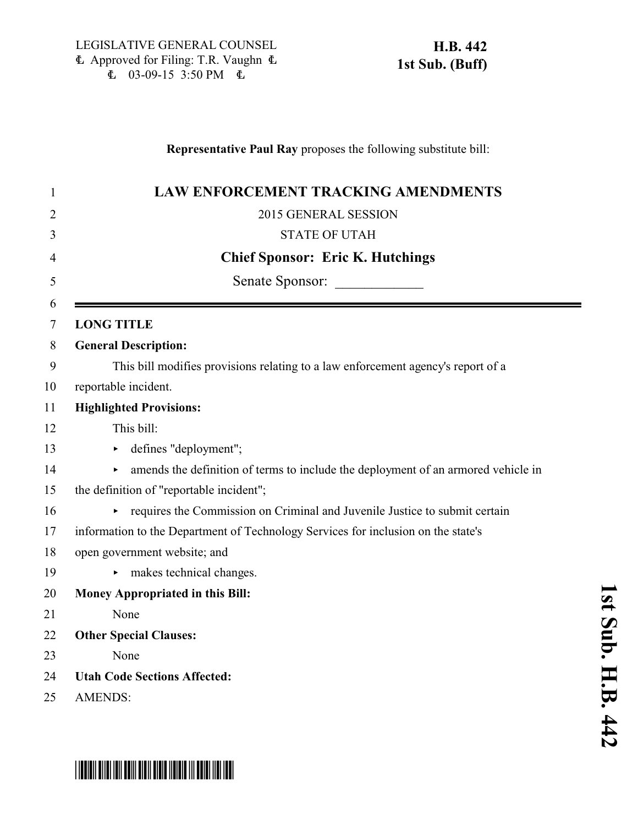### **Representative Paul Ray** proposes the following substitute bill:

| 1           | <b>LAW ENFORCEMENT TRACKING AMENDMENTS</b>                                             |
|-------------|----------------------------------------------------------------------------------------|
| 2           | 2015 GENERAL SESSION                                                                   |
| 3           | <b>STATE OF UTAH</b>                                                                   |
| 4           | <b>Chief Sponsor: Eric K. Hutchings</b>                                                |
| 5           | Senate Sponsor:                                                                        |
| 6<br>$\tau$ | <b>LONG TITLE</b>                                                                      |
| 8           | <b>General Description:</b>                                                            |
| 9           | This bill modifies provisions relating to a law enforcement agency's report of a       |
| 10          | reportable incident.                                                                   |
| 11          | <b>Highlighted Provisions:</b>                                                         |
| 12          | This bill:                                                                             |
| 13          | defines "deployment";<br>Þ.                                                            |
| 14          | amends the definition of terms to include the deployment of an armored vehicle in<br>▶ |
| 15          | the definition of "reportable incident";                                               |
| 16          | requires the Commission on Criminal and Juvenile Justice to submit certain<br>Þ.       |
| 17          | information to the Department of Technology Services for inclusion on the state's      |
| 18          | open government website; and                                                           |
| 19          | makes technical changes.                                                               |
| 20          | Money Appropriated in this Bill:                                                       |
| 21          | None                                                                                   |
| 22          | <b>Other Special Clauses:</b>                                                          |
| 23          | None                                                                                   |
| 24          | <b>Utah Code Sections Affected:</b>                                                    |
| 25          | <b>AMENDS:</b>                                                                         |

**1**

# \*HB0442S01\*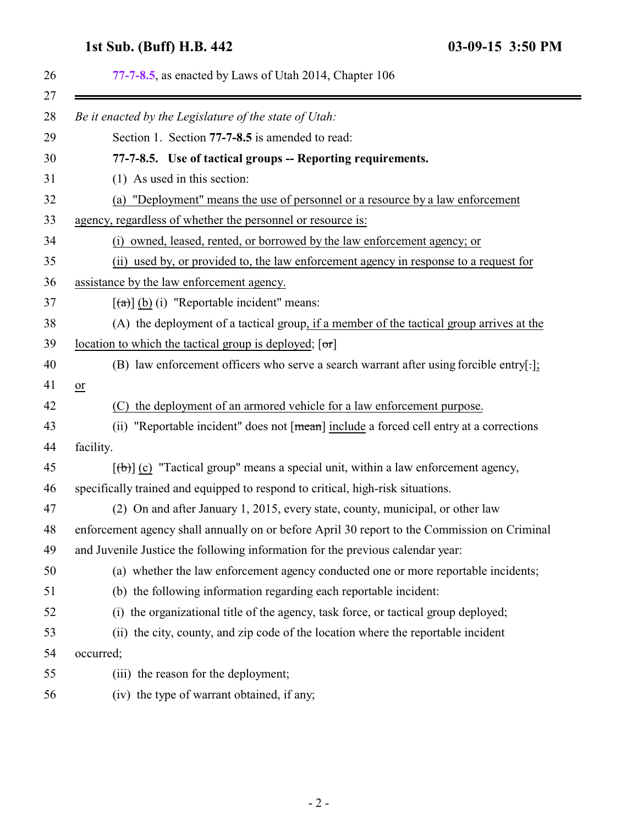## <span id="page-1-0"></span>**1st Sub. (Buff) H.B. 442 03-09-15 3:50 PM**

|    | 77-7-8.5, as enacted by Laws of Utah 2014, Chapter 106                                       |
|----|----------------------------------------------------------------------------------------------|
|    | Be it enacted by the Legislature of the state of Utah:                                       |
|    | Section 1. Section 77-7-8.5 is amended to read:                                              |
|    | 77-7-8.5. Use of tactical groups -- Reporting requirements.                                  |
|    | $(1)$ As used in this section:                                                               |
|    | (a) "Deployment" means the use of personnel or a resource by a law enforcement               |
|    | agency, regardless of whether the personnel or resource is:                                  |
|    | (i) owned, leased, rented, or borrowed by the law enforcement agency; or                     |
|    | (ii) used by, or provided to, the law enforcement agency in response to a request for        |
|    | assistance by the law enforcement agency.                                                    |
|    | $\left[\frac{a}{a}\right]$ (b) (i) "Reportable incident" means:                              |
|    | (A) the deployment of a tactical group, if a member of the tactical group arrives at the     |
|    | location to which the tactical group is deployed; $[\sigma r]$                               |
|    | (B) law enforcement officers who serve a search warrant after using forcible entry[:];       |
| or |                                                                                              |
|    | the deployment of an armored vehicle for a law enforcement purpose.<br>(C)                   |
|    | (ii) "Reportable incident" does not [mean] include a forced cell entry at a corrections      |
|    | facility.                                                                                    |
|    | $[\phi]$ (c) "Tactical group" means a special unit, within a law enforcement agency,         |
|    | specifically trained and equipped to respond to critical, high-risk situations.              |
|    | (2) On and after January 1, 2015, every state, county, municipal, or other law               |
|    | enforcement agency shall annually on or before April 30 report to the Commission on Criminal |
|    | and Juvenile Justice the following information for the previous calendar year:               |
|    | (a) whether the law enforcement agency conducted one or more reportable incidents;           |
|    | (b) the following information regarding each reportable incident:                            |
|    | the organizational title of the agency, task force, or tactical group deployed;<br>(i)       |
|    | the city, county, and zip code of the location where the reportable incident<br>(ii)         |
|    | occurred;                                                                                    |
|    | (iii) the reason for the deployment;                                                         |
|    | (iv) the type of warrant obtained, if any;                                                   |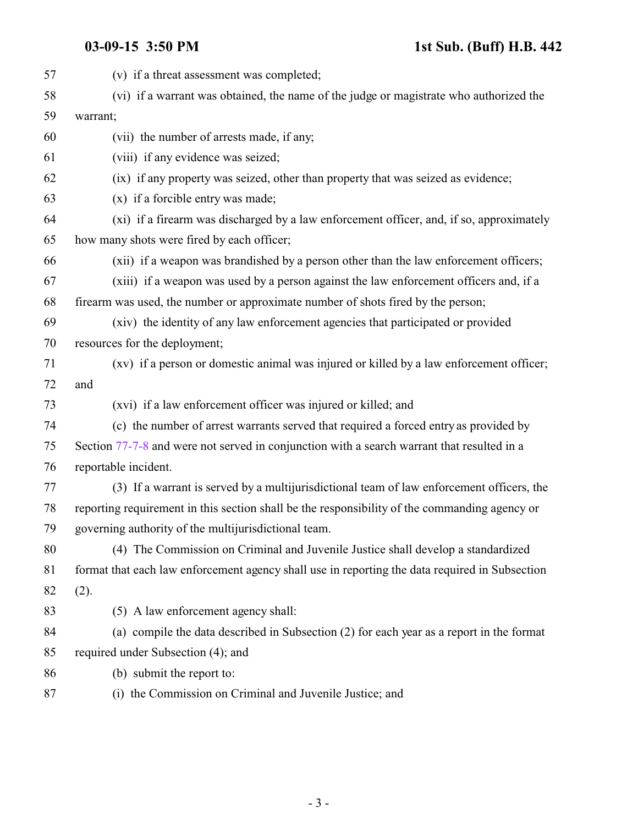| 57 | (v) if a threat assessment was completed;                                                      |
|----|------------------------------------------------------------------------------------------------|
| 58 | (vi) if a warrant was obtained, the name of the judge or magistrate who authorized the         |
| 59 | warrant;                                                                                       |
| 60 | (vii) the number of arrests made, if any;                                                      |
| 61 | (viii) if any evidence was seized;                                                             |
| 62 | (ix) if any property was seized, other than property that was seized as evidence;              |
| 63 | (x) if a forcible entry was made;                                                              |
| 64 | (xi) if a firearm was discharged by a law enforcement officer, and, if so, approximately       |
| 65 | how many shots were fired by each officer;                                                     |
| 66 | (xii) if a weapon was brandished by a person other than the law enforcement officers;          |
| 67 | (xiii) if a weapon was used by a person against the law enforcement officers and, if a         |
| 68 | firearm was used, the number or approximate number of shots fired by the person;               |
| 69 | (xiv) the identity of any law enforcement agencies that participated or provided               |
| 70 | resources for the deployment;                                                                  |
| 71 | (xv) if a person or domestic animal was injured or killed by a law enforcement officer;        |
| 72 | and                                                                                            |
| 73 | (xvi) if a law enforcement officer was injured or killed; and                                  |
| 74 | (c) the number of arrest warrants served that required a forced entry as provided by           |
| 75 | Section 77-7-8 and were not served in conjunction with a search warrant that resulted in a     |
| 76 | reportable incident.                                                                           |
| 77 | (3) If a warrant is served by a multijurisdictional team of law enforcement officers, the      |
| 78 | reporting requirement in this section shall be the responsibility of the commanding agency or  |
| 79 | governing authority of the multijuris dictional team.                                          |
| 80 | (4) The Commission on Criminal and Juvenile Justice shall develop a standardized               |
| 81 | format that each law enforcement agency shall use in reporting the data required in Subsection |
| 82 | (2).                                                                                           |
| 83 | (5) A law enforcement agency shall:                                                            |
| 84 | (a) compile the data described in Subsection (2) for each year as a report in the format       |
| 85 | required under Subsection (4); and                                                             |
| 86 | (b) submit the report to:                                                                      |
| 87 | (i) the Commission on Criminal and Juvenile Justice; and                                       |